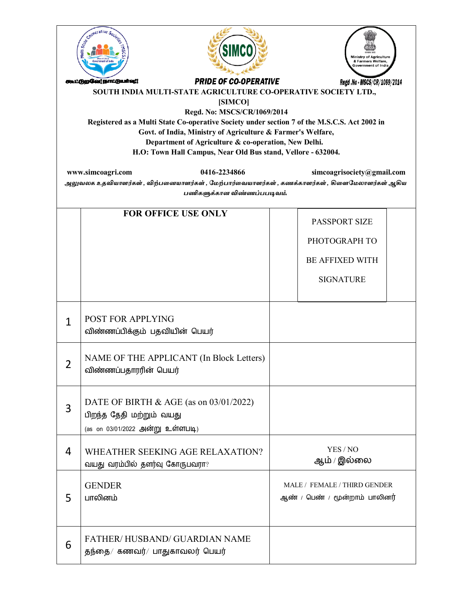| cooperative Society<br>Multi State<br>SIMC(<br>& Farmers Welfare,<br>Government of India<br><b>PRIDE OF CO-OPERATIVE</b><br>கூட்டுறவே!நாட்டுயாவு!!<br>Regd .No - MSCS/CR/1069/2014<br>SOUTH INDIA MULTI-STATE AGRICULTURE CO-OPERATIVE SOCIETY LTD.,<br>[SIMCO]<br>Regd. No: MSCS/CR/1069/2014<br>Registered as a Multi State Co-operative Society under section 7 of the M.S.C.S. Act 2002 in<br>Govt. of India, Ministry of Agriculture & Farmer's Welfare,<br>Department of Agriculture & co-operation, New Delhi.<br>H.O: Town Hall Campus, Near Old Bus stand, Vellore - 632004. |                                                                                                        |                                                                                     |  |  |
|---------------------------------------------------------------------------------------------------------------------------------------------------------------------------------------------------------------------------------------------------------------------------------------------------------------------------------------------------------------------------------------------------------------------------------------------------------------------------------------------------------------------------------------------------------------------------------------|--------------------------------------------------------------------------------------------------------|-------------------------------------------------------------------------------------|--|--|
|                                                                                                                                                                                                                                                                                                                                                                                                                                                                                                                                                                                       | www.simcoagri.com<br>0416-2234866                                                                      | simcoagrisociety@gmail.com                                                          |  |  |
| அலுவலக உதவியாளர்கள் , விற்பனையாளர்கள் , மேற்பார்வையாளர்கள் , கணக்காளர்கள் , கிளைமேலாளர்கள் ஆகிய<br>பணிகளுக்கான விண்ணப்பபடிவம்.                                                                                                                                                                                                                                                                                                                                                                                                                                                        |                                                                                                        |                                                                                     |  |  |
|                                                                                                                                                                                                                                                                                                                                                                                                                                                                                                                                                                                       | <b>FOR OFFICE USE ONLY</b>                                                                             | <b>PASSPORT SIZE</b><br>PHOTOGRAPH TO<br><b>BE AFFIXED WITH</b><br><b>SIGNATURE</b> |  |  |
| $\mathbf{1}$                                                                                                                                                                                                                                                                                                                                                                                                                                                                                                                                                                          | <b>POST FOR APPLYING</b><br>விண்ணப்பிக்கும் பதவியின் பெயர்                                             |                                                                                     |  |  |
| $\angle$                                                                                                                                                                                                                                                                                                                                                                                                                                                                                                                                                                              | NAME OF THE APPLICANT (In Block Letters)<br>விண்ணப்பதாரரின் பெயர்                                      |                                                                                     |  |  |
| 3                                                                                                                                                                                                                                                                                                                                                                                                                                                                                                                                                                                     | DATE OF BIRTH & AGE (as on 03/01/2022)<br>பிறந்த தேதி மற்றும் வயது<br>(as on 03/01/2022 அன்று உள்ளபடி) |                                                                                     |  |  |
| 4                                                                                                                                                                                                                                                                                                                                                                                                                                                                                                                                                                                     | WHEATHER SEEKING AGE RELAXATION?<br>வயது வரம்பில் தளர்வு கோருபவரா?                                     | YES / NO<br>ஆம் / இல்லை                                                             |  |  |
| 5                                                                                                                                                                                                                                                                                                                                                                                                                                                                                                                                                                                     | <b>GENDER</b><br>பாலினம்                                                                               | MALE / FEMALE / THIRD GENDER<br>ஆண் / பெண் / மூன்றாம் பாலினர்                       |  |  |
| 6                                                                                                                                                                                                                                                                                                                                                                                                                                                                                                                                                                                     | <b>FATHER/HUSBAND/ GUARDIAN NAME</b><br>தந்தை/ கணவர்/ பாதுகாவலர் பெயர்                                 |                                                                                     |  |  |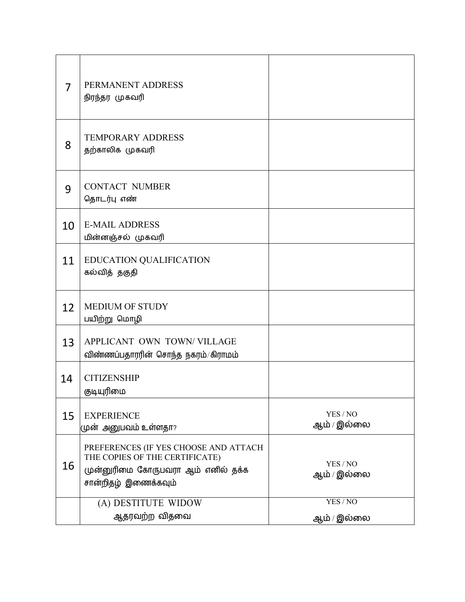| 7  | PERMANENT ADDRESS<br>நிரந்தர முகவரி                                                                                                   |                         |
|----|---------------------------------------------------------------------------------------------------------------------------------------|-------------------------|
| 8  | <b>TEMPORARY ADDRESS</b><br>தற்காலிக முகவரி                                                                                           |                         |
| 9  | <b>CONTACT NUMBER</b><br>தொடர்பு எண்                                                                                                  |                         |
| 10 | <b>E-MAIL ADDRESS</b><br>மின்னஞ்சல் முகவரி                                                                                            |                         |
| 11 | EDUCATION QUALIFICATION<br>கல்வித் தகுதி                                                                                              |                         |
| 12 | <b>MEDIUM OF STUDY</b><br>பயிற்று மொழி                                                                                                |                         |
| 13 | APPLICANT OWN TOWN/VILLAGE<br>விண்ணப்பதாரரின் சொந்த நகரம்/கிராமம்                                                                     |                         |
| 14 | <b>CITIZENSHIP</b><br>குடியுரிமை                                                                                                      |                         |
| 15 | <b>EXPERIENCE</b><br>முன் அனுபவம் உள்ளதா?                                                                                             | YES / NO<br>ஆம் / இல்லை |
| 16 | PREFERENCES (IF YES CHOOSE AND ATTACH<br>THE COPIES OF THE CERTIFICATE)<br>முன்னுரிமை கோருபவரா ஆம் எனில் தக்க<br>சான்றிதழ் இணைக்கவும் | YES / NO<br>ஆம் / இல்லை |
|    | (A) DESTITUTE WIDOW<br>ஆதரவற்ற விதவை                                                                                                  | YES/NO<br>ஆம் / இல்லை   |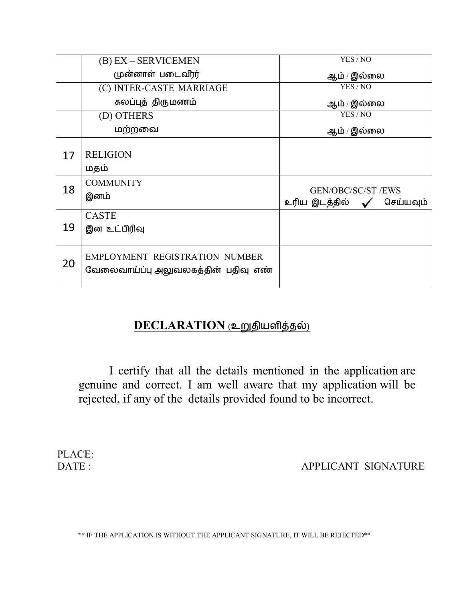|    | $(B) EX - SERVICEMENT$                                                       | YES / NO                                                             |
|----|------------------------------------------------------------------------------|----------------------------------------------------------------------|
|    | முன்னாள் படைவீரர்                                                            | ஆம் / இல்லை                                                          |
|    | (C) INTER-CASTE MARRIAGE                                                     | YES / NO                                                             |
|    | கலப்புத் திருமணம்                                                            | ஆம் / இல்லை                                                          |
|    | (D) OTHERS                                                                   | YES/NO                                                               |
|    | மற்றவை                                                                       | ஆம் / இல்லை                                                          |
| 17 | <b>RELIGION</b><br>மதம்                                                      |                                                                      |
| 18 | <b>COMMUNITY</b><br>இனம்                                                     | <b>GEN/OBC/SC/ST /EWS</b><br>உரிய இடத்தில் $\checkmark$<br>செய்யவும் |
| 19 | <b>CASTE</b><br>இன உட்பிரிவு                                                 |                                                                      |
| 20 | <b>EMPLOYMENT REGISTRATION NUMBER</b><br>வேலைவாய்ப்பு அலுவலகத்தின் பதிவு எண் |                                                                      |

## **DECLARATION** (உறுதியளித்தல்)

I certify that all the details mentioned in the application are genuine and correct. I am well aware that my application will be rejected, if any of the details provided found to be incorrect.

PLACE:<br>DATE:

APPLICANT SIGNATURE

**\*\*** IF THE APPLICATION IS WITHOUT THE APPLICANT SIGNATURE, IT WILL BE REJECTED\*\*